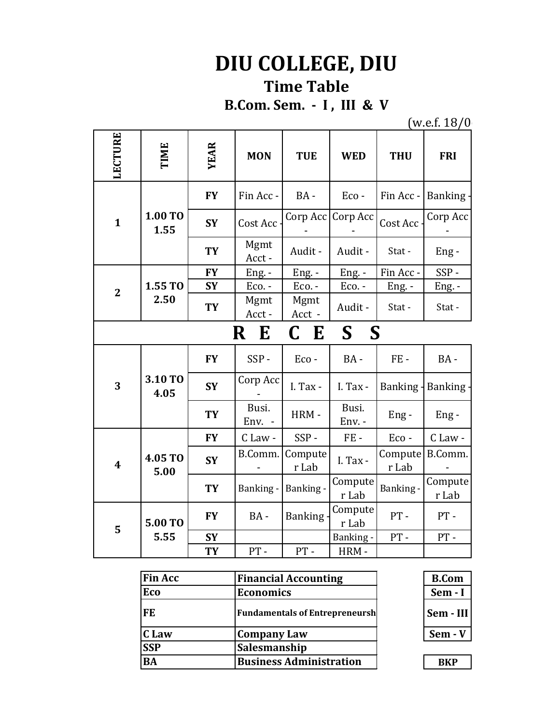## **DIU COLLEGE, DIU Time Table**

**B.Com. Sem. - I , III & V**

 $(w.e.f. 18/0)$ 

| LECTURE                           | TIME            | <b>YEAR</b> | <b>MON</b>      | <b>TUE</b>       | <b>WED</b>       | <b>THU</b>       | <b>FRI</b>       |
|-----------------------------------|-----------------|-------------|-----------------|------------------|------------------|------------------|------------------|
| $\mathbf{1}$                      | 1.00 TO<br>1.55 | <b>FY</b>   | Fin Acc -       | BA-              | Eco-             | Fin Acc -        | <b>Banking</b>   |
|                                   |                 | <b>SY</b>   | Cost Acc        | Corp Acc         | Corp Acc         | Cost Acc         | Corp Acc         |
|                                   |                 | <b>TY</b>   | Mgmt<br>Acct-   | Audit -          | Audit -          | Stat-            | $Eng -$          |
| $\overline{2}$                    | 1.55 TO<br>2.50 | <b>FY</b>   | Eng. -          | Eng. -           | $Eng. -$         | Fin Acc-         | SSP-             |
|                                   |                 | <b>SY</b>   | Eco. -          | Eco. -           | Eco. -           | Eng. -           | Eng. -           |
|                                   |                 | <b>TY</b>   | Mgmt<br>Acct-   | Mgmt<br>Acct -   | Audit -          | Stat-            | Stat-            |
| $S_{-}$<br><b>S</b><br>R E<br>C E |                 |             |                 |                  |                  |                  |                  |
|                                   |                 |             |                 |                  |                  |                  |                  |
|                                   |                 | <b>FY</b>   | SSP-            | Eco-             | BA-              | FE-              | $BA -$           |
| 3                                 | 3.10 TO<br>4.05 | <b>SY</b>   | Corp Acc        | I. Tax -         | I. Tax -         | Banking -        | <b>Banking</b>   |
|                                   |                 | <b>TY</b>   | Busi.<br>Env. - | HRM-             | Busi.<br>Env. -  | Eng-             | $Eng -$          |
|                                   |                 | <b>FY</b>   | C Law -         | SSP-             | FE-              | Eco-             | C Law -          |
| $\overline{\mathbf{4}}$           | 4.05 TO         | <b>SY</b>   | B.Comm.         | Compute<br>r Lab | I. Tax -         | Compute<br>r Lab | B.Comm.          |
|                                   | 5.00            | <b>TY</b>   | Banking -       | Banking -        | Compute<br>r Lab | Banking-         | Compute<br>r Lab |
|                                   | <b>5.00 TO</b>  | <b>FY</b>   | BA-             | <b>Banking</b>   | Compute<br>r Lab | $PT -$           | PT-              |
| 5                                 | 5.55            | <b>SY</b>   |                 |                  | Banking -        | $PT -$           | PT-              |

| <b>Fin Acc</b> | <b>Financial Accounting</b>           | <b>B.Com</b> |
|----------------|---------------------------------------|--------------|
| Eco            | <b>Economics</b>                      | Sem - I      |
| FE             | <b>Fundamentals of Entrepreneursh</b> | Sem - III    |
| C Law          | <b>Company Law</b>                    | $Sem - V$    |
| <b>SSP</b>     | Salesmanship                          |              |
| <b>BA</b>      | <b>Business Administration</b>        | <b>BKP</b>   |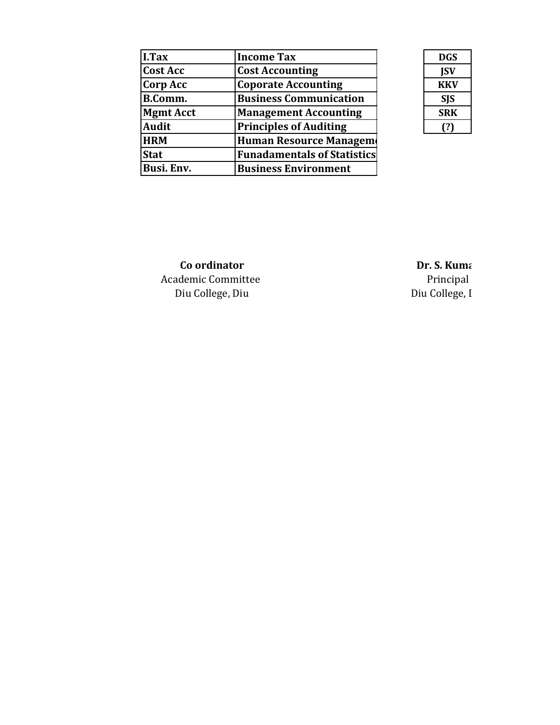| I.Tax            | <b>Income Tax</b>                  |
|------------------|------------------------------------|
| <b>Cost Acc</b>  | <b>Cost Accounting</b>             |
| <b>Corp Acc</b>  | <b>Coporate Accounting</b>         |
| B.Comm.          | <b>Business Communication</b>      |
| <b>Mgmt Acct</b> | <b>Management Accounting</b>       |
| <b>Audit</b>     | <b>Principles of Auditing</b>      |
| <b>HRM</b>       | Human Resource Managem             |
| <b>Stat</b>      | <b>Funadamentals of Statistics</b> |
| Busi. Env.       | <b>Business Environment</b>        |

| DGS        |
|------------|
| <b>ISV</b> |
| KKV        |
| SJS        |
| SRK        |
|            |

**Co ordinator**<br>demic Committee **Dr. S. Kumar**<br>Principal Academic Committee Diu College, Diu Diu College, Diu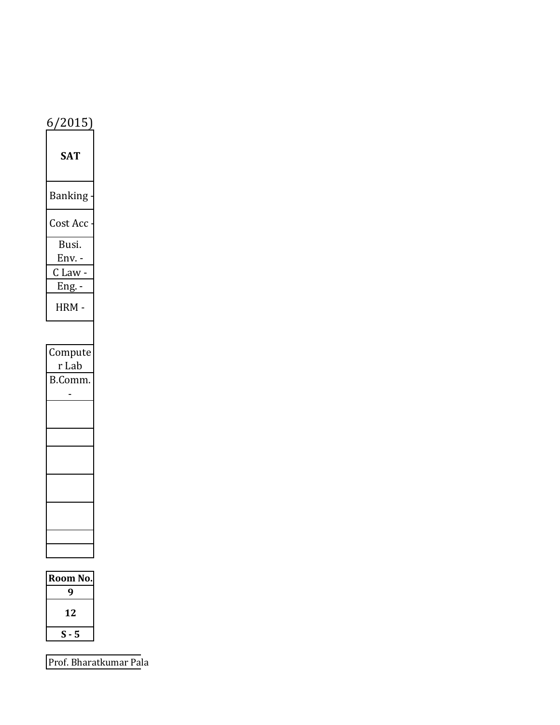| 6/2015                    |  |
|---------------------------|--|
| AT                        |  |
| <b>Banking</b>            |  |
| Cost Acc                  |  |
| Busi.<br>$Env. -$         |  |
| C Law -<br><u> Eng. -</u> |  |
| <b>HRM</b>                |  |
|                           |  |
| Compute<br>r Lab          |  |
| B.Comm.                   |  |
|                           |  |
|                           |  |
|                           |  |
|                           |  |
|                           |  |
|                           |  |

| Room No. |
|----------|
|          |
| 12       |
| \$.<br>5 |
|          |

Prof. Bharatkumar Pala